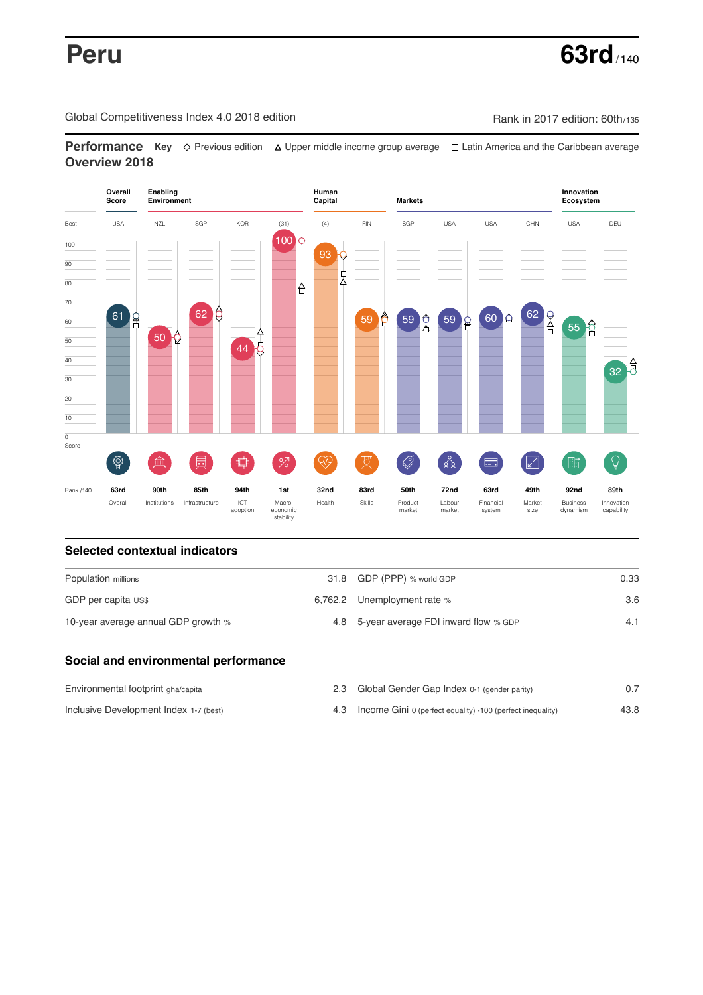Global Competitiveness Index 4.0 2018 edition Company Rank in 2017 edition: 60th/135

**Performance** Key ◇ Previous edition △ Upper middle income group average □ Latin America and the Caribbean average **Overview 2018**



# **Selected contextual indicators**

| Population millions                 | 31.8 GDP (PPP) % world GDP               | 0.33 |  |
|-------------------------------------|------------------------------------------|------|--|
| GDP per capita US\$                 | 6,762.2 Unemployment rate %              | 3.6  |  |
| 10-year average annual GDP growth % | 4.8 5-year average FDI inward flow % GDP | 4.1  |  |

# **Social and environmental performance**

| Environmental footprint gha/capita     | 2.3 Global Gender Gap Index 0-1 (gender parity)                |      |
|----------------------------------------|----------------------------------------------------------------|------|
| Inclusive Development Index 1-7 (best) | 4.3 Income Gini 0 (perfect equality) -100 (perfect inequality) | 43.8 |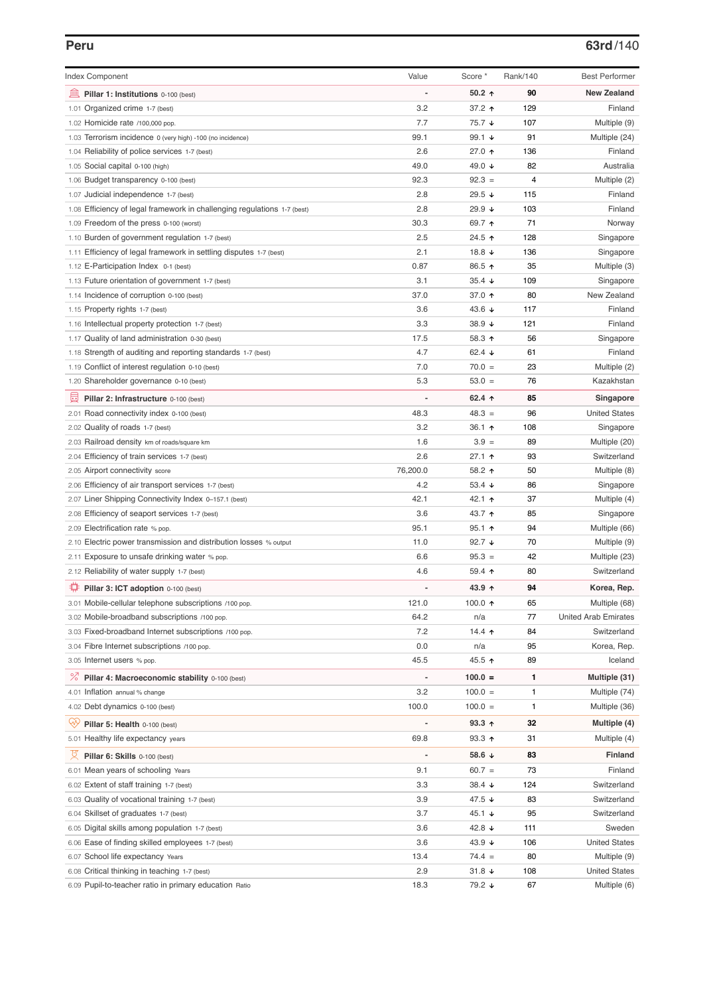## **Peru 63rd**/140

| <b>Index Component</b>                                                   | Value                    | Score *          | Rank/140 | <b>Best Performer</b>       |
|--------------------------------------------------------------------------|--------------------------|------------------|----------|-----------------------------|
| 無<br>Pillar 1: Institutions 0-100 (best)                                 |                          | $50.2$ ↑         | 90       | <b>New Zealand</b>          |
| 1.01 Organized crime 1-7 (best)                                          | 3.2                      | 37.2 ↑           | 129      | Finland                     |
| 1.02 Homicide rate /100,000 pop.                                         | 7.7                      | 75.7 ↓           | 107      | Multiple (9)                |
| 1.03 Terrorism incidence 0 (very high) -100 (no incidence)               | 99.1                     | 99.1 $\sqrt{ }$  | 91       | Multiple (24)               |
| 1.04 Reliability of police services 1-7 (best)                           | 2.6                      | 27.0 ↑           | 136      | Finland                     |
| 1.05 Social capital 0-100 (high)                                         | 49.0                     | 49.0 ↓           | 82       | Australia                   |
| 1.06 Budget transparency 0-100 (best)                                    | 92.3                     | $92.3 =$         | 4        | Multiple (2)                |
| 1.07 Judicial independence 1-7 (best)                                    | 2.8                      | 29.5 $\sqrt{ }$  | 115      | Finland                     |
| 1.08 Efficiency of legal framework in challenging regulations 1-7 (best) | 2.8                      | 29.9 ↓           | 103      | Finland                     |
| 1.09 Freedom of the press 0-100 (worst)                                  | 30.3                     | 69.7 ↑           | 71       | Norway                      |
| 1.10 Burden of government regulation 1-7 (best)                          | 2.5                      | 24.5 ↑           | 128      | Singapore                   |
| 1.11 Efficiency of legal framework in settling disputes 1-7 (best)       | 2.1                      | 18.8 $\sqrt{ }$  | 136      | Singapore                   |
| 1.12 E-Participation Index 0-1 (best)                                    | 0.87                     | 86.5 ↑           | 35       | Multiple (3)                |
| 1.13 Future orientation of government 1-7 (best)                         | 3.1                      | $35.4 +$         | 109      | Singapore                   |
| 1.14 Incidence of corruption 0-100 (best)                                | 37.0                     | 37.0 ↑           | 80       | New Zealand                 |
| 1.15 Property rights 1-7 (best)                                          | 3.6                      | 43.6 ↓           | 117      | Finland                     |
| 1.16 Intellectual property protection 1-7 (best)                         | 3.3                      | 38.9 $\sqrt{ }$  | 121      | Finland                     |
| 1.17 Quality of land administration 0-30 (best)                          | 17.5                     | 58.3 个           | 56       | Singapore                   |
| 1.18 Strength of auditing and reporting standards 1-7 (best)             | 4.7                      | 62.4 $\sqrt{ }$  | 61       | Finland                     |
| 1.19 Conflict of interest regulation 0-10 (best)                         | 7.0                      | $70.0 =$         | 23       | Multiple (2)                |
| 1.20 Shareholder governance 0-10 (best)                                  | 5.3                      | $53.0 =$         | 76       | Kazakhstan                  |
|                                                                          |                          |                  |          |                             |
| 囩<br>Pillar 2: Infrastructure 0-100 (best)                               |                          | 62.4 $\uparrow$  | 85       | Singapore                   |
| 2.01 Road connectivity index 0-100 (best)                                | 48.3                     | $48.3 =$         | 96       | <b>United States</b>        |
| 2.02 Quality of roads 1-7 (best)                                         | 3.2                      | 36.1 $\uparrow$  | 108      | Singapore                   |
| 2.03 Railroad density km of roads/square km                              | 1.6                      | $3.9 =$          | 89       | Multiple (20)               |
| 2.04 Efficiency of train services 1-7 (best)                             | 2.6                      | 27.1 ተ           | 93       | Switzerland                 |
| 2.05 Airport connectivity score                                          | 76,200.0                 | 58.2 ↑           | 50       | Multiple (8)                |
| 2.06 Efficiency of air transport services 1-7 (best)                     | 4.2                      | 53.4 $\sqrt{ }$  | 86       | Singapore                   |
| 2.07 Liner Shipping Connectivity Index 0-157.1 (best)                    | 42.1                     | 42.1 ↑           | 37       | Multiple (4)                |
| 2.08 Efficiency of seaport services 1-7 (best)                           | 3.6                      | 43.7 ↑           | 85       | Singapore                   |
| 2.09 Electrification rate % pop.                                         | 95.1                     | $95.1$ ↑         | 94       | Multiple (66)               |
| 2.10 Electric power transmission and distribution losses % output        | 11.0                     | 92.7 $\sqrt{ }$  | 70       | Multiple (9)                |
| 2.11 Exposure to unsafe drinking water % pop.                            | 6.6                      | $95.3 =$         | 42       | Multiple (23)               |
| 2.12 Reliability of water supply 1-7 (best)                              | 4.6                      | 59.4 $\uparrow$  | 80       | Switzerland                 |
| ₽<br>Pillar 3: ICT adoption 0-100 (best)                                 |                          | 43.9 ↑           | 94       | Korea, Rep.                 |
| 3.01 Mobile-cellular telephone subscriptions /100 pop.                   | 121.0                    | 100.0 $\uparrow$ | 65       | Multiple (68)               |
| 3.02 Mobile-broadband subscriptions /100 pop.                            | 64.2                     | n/a              | 77       | <b>United Arab Emirates</b> |
| 3.03 Fixed-broadband Internet subscriptions /100 pop.                    | 7.2                      | 14.4 $\uparrow$  | 84       | Switzerland                 |
| 3.04 Fibre Internet subscriptions /100 pop.                              | 0.0                      | n/a              | 95       | Korea, Rep.                 |
| 3.05 Internet users % pop.                                               | 45.5                     | 45.5 ↑           | 89       | Iceland                     |
| <sup>%</sup> Pillar 4: Macroeconomic stability 0-100 (best)              | $\overline{\phantom{0}}$ | $100.0 =$        | 1        | Multiple (31)               |
| 4.01 Inflation annual % change                                           | 3.2                      | $100.0 =$        | 1        | Multiple (74)               |
| 4.02 Debt dynamics 0-100 (best)                                          | 100.0                    | $100.0 =$        | 1        | Multiple (36)               |
| Qv                                                                       |                          | 93.3 $\uparrow$  | 32       |                             |
| Pillar 5: Health 0-100 (best)                                            |                          |                  |          | Multiple (4)                |
| 5.01 Healthy life expectancy years                                       | 69.8                     | $93.3$ 1         | 31       | Multiple (4)                |
| 섯<br>Pillar 6: Skills 0-100 (best)                                       |                          | 58.6 $\sqrt{ }$  | 83       | <b>Finland</b>              |
| 6.01 Mean years of schooling Years                                       | 9.1                      | $60.7 =$         | 73       | Finland                     |
| 6.02 Extent of staff training 1-7 (best)                                 | 3.3                      | 38.4 ↓           | 124      | Switzerland                 |
| 6.03 Quality of vocational training 1-7 (best)                           | 3.9                      | 47.5 ↓           | 83       | Switzerland                 |
| 6.04 Skillset of graduates 1-7 (best)                                    | 3.7                      | 45.1 ↓           | 95       | Switzerland                 |
| Digital skills among population 1-7 (best)<br>6.05                       | 3.6                      | 42.8 ↓           | 111      | Sweden                      |
| Ease of finding skilled employees 1-7 (best)<br>6.06                     | 3.6                      | 43.9 ↓           | 106      | <b>United States</b>        |
| 6.07 School life expectancy Years                                        | 13.4                     | $74.4 =$         | 80       | Multiple (9)                |
| 6.08 Critical thinking in teaching 1-7 (best)                            | 2.9                      | 31.8 $\sqrt{ }$  | 108      | <b>United States</b>        |
| 6.09 Pupil-to-teacher ratio in primary education Ratio                   | 18.3                     | 79.2 ↓           | 67       | Multiple (6)                |